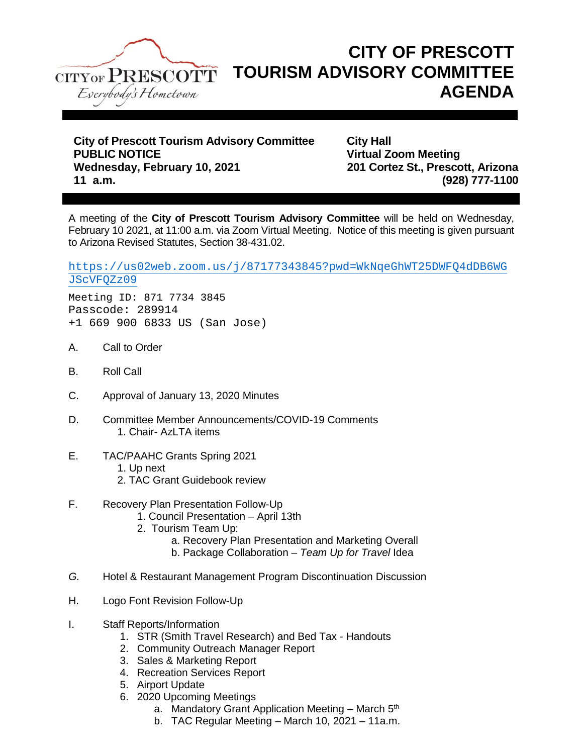

## **CITY OF PRESCOTT TOURISM ADVISORY COMMITTEE AGENDA**

**City of Prescott Tourism Advisory Committee City Hall Wednesday, February 10, 2021 201 Cortez St., Prescott, Arizona 11 a.m. (928) 777-1100**

**Virtual Zoom Meeting** 

A meeting of the **City of Prescott Tourism Advisory Committee** will be held on Wednesday, February 10 2021, at 11:00 a.m. via Zoom Virtual Meeting. Notice of this meeting is given pursuant to Arizona Revised Statutes, Section 38-431.02.

[https://us02web.zoom.us/j/87177343845?pwd=WkNqeGhWT25DWFQ4dDB6WG](https://us02web.zoom.us/j/87177343845?pwd=WkNqeGhWT25DWFQ4dDB6WGJScVFQZz09) [JScVFQZz09](https://us02web.zoom.us/j/87177343845?pwd=WkNqeGhWT25DWFQ4dDB6WGJScVFQZz09)

Meeting ID: 871 7734 3845 Passcode: 289914 +1 669 900 6833 US (San Jose)

- A. Call to Order
- B. Roll Call
- C. Approval of January 13, 2020 Minutes
- D. Committee Member Announcements/COVID-19 Comments 1. Chair- AzLTA items
- E. TAC/PAAHC Grants Spring 2021
	- 1. Up next
	- 2. TAC Grant Guidebook review
- F. Recovery Plan Presentation Follow-Up
	- 1. Council Presentation April 13th
	- 2. Tourism Team Up:
		- a. Recovery Plan Presentation and Marketing Overall
		- b. Package Collaboration *Team Up for Travel* Idea
- *G.* Hotel & Restaurant Management Program Discontinuation Discussion
- H. Logo Font Revision Follow-Up
- I. Staff Reports/Information
	- 1. STR (Smith Travel Research) and Bed Tax Handouts
	- 2. Community Outreach Manager Report
	- 3. Sales & Marketing Report
	- 4. Recreation Services Report
	- 5. Airport Update
	- 6. 2020 Upcoming Meetings
		- a. Mandatory Grant Application Meeting March 5<sup>th</sup>
		- b. TAC Regular Meeting March 10, 2021 11a.m.